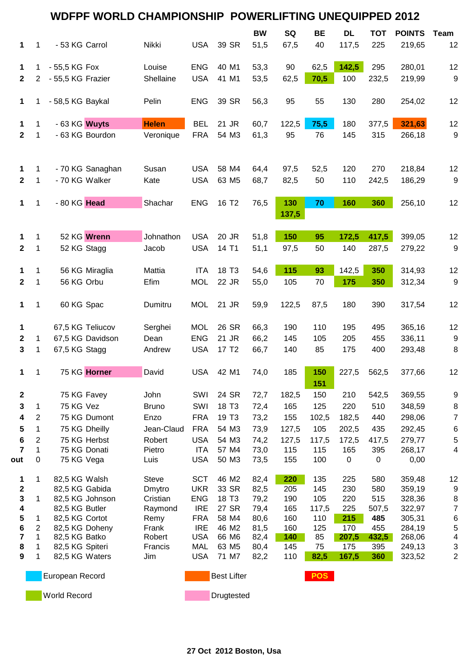|              | <b>WDFPF WORLD CHAMPIONSHIP</b><br><b>POWERLIFTING UNEQUIPPED 2012</b> |                   |                  |                     |                          |                            |              |              |              |            |              |                  |                             |
|--------------|------------------------------------------------------------------------|-------------------|------------------|---------------------|--------------------------|----------------------------|--------------|--------------|--------------|------------|--------------|------------------|-----------------------------|
|              |                                                                        |                   |                  |                     |                          |                            | <b>BW</b>    | SQ           | <b>BE</b>    | <b>DL</b>  | <b>TOT</b>   | <b>POINTS</b>    | <b>Team</b>                 |
| 1            | 1                                                                      | - 53 KG Carrol    |                  | Nikki               | <b>USA</b>               | 39 SR                      | 51,5         | 67,5         | 40           | 117,5      | 225          | 219,65           | 12                          |
| 1            | 1                                                                      | - 55,5 KG Fox     |                  | Louise              | <b>ENG</b>               | 40 M1                      | 53,3         | 90           | 62,5         | 142,5      | 295          | 280,01           | 12                          |
| $\mathbf{2}$ | $\overline{2}$                                                         | - 55,5 KG Frazier |                  | Shellaine           | <b>USA</b>               | 41 M1                      | 53,5         | 62,5         | 70,5         | 100        | 232,5        | 219,99           | $\boldsymbol{9}$            |
|              |                                                                        |                   |                  |                     |                          |                            |              |              |              |            |              |                  |                             |
| 1            | 1                                                                      | - 58,5 KG Baykal  |                  | Pelin               | <b>ENG</b>               | 39 SR                      | 56,3         | 95           | 55           | 130        | 280          | 254,02           | 12                          |
| 1            | 1                                                                      | - 63 KG Wuyts     |                  | <b>Helen</b>        | <b>BEL</b>               | 21 JR                      | 60,7         | 122,5        | 75,5         | 180        | 377,5        | 321,63           | 12                          |
| $\mathbf 2$  | 1                                                                      |                   | - 63 KG Bourdon  | Veronique           | <b>FRA</b>               | 54 M3                      | 61,3         | 95           | 76           | 145        | 315          | 266,18           | $\boldsymbol{9}$            |
| 1            | 1                                                                      |                   | - 70 KG Sanaghan | Susan               | <b>USA</b>               | 58 M4                      | 64,4         | 97,5         | 52,5         | 120        | 270          | 218,84           | 12                          |
| $\mathbf 2$  | 1                                                                      | - 70 KG Walker    |                  | Kate                | <b>USA</b>               | 63 M <sub>5</sub>          | 68,7         | 82,5         | 50           | 110        | 242,5        | 186,29           | $\boldsymbol{9}$            |
|              |                                                                        |                   |                  |                     |                          |                            |              |              |              |            |              |                  |                             |
| 1            | 1                                                                      | - 80 KG Head      |                  | Shachar             | <b>ENG</b>               | 16 T <sub>2</sub>          | 76,5         | 130<br>137,5 | 70           | 160        | 360          | 256,10           | 12                          |
| 1            | 1                                                                      |                   | 52 KG Wrenn      | Johnathon           | <b>USA</b>               | 20 JR                      | 51,8         | 150          | 95           | 172,5      | 417,5        | 399,05           | 12                          |
| $\mathbf 2$  | 1                                                                      | 52 KG Stagg       |                  | Jacob               | <b>USA</b>               | 14 T1                      | 51,1         | 97,5         | 50           | 140        | 287,5        | 279,22           | $\boldsymbol{9}$            |
| 1            | 1                                                                      |                   | 56 KG Miraglia   | Mattia              | <b>ITA</b>               | 18 T <sub>3</sub>          | 54,6         | 115          | 93           | 142,5      | 350          | 314,93           | 12                          |
| $\mathbf 2$  | 1                                                                      | 56 KG Orbu        |                  | Efim                | <b>MOL</b>               | 22 JR                      | 55,0         | 105          | 70           | 175        | 350          | 312,34           | $\boldsymbol{9}$            |
|              |                                                                        |                   |                  |                     |                          |                            |              |              |              |            |              |                  |                             |
| 1            | 1                                                                      | 60 KG Spac        |                  | Dumitru             | <b>MOL</b>               | 21 JR                      | 59,9         | 122,5        | 87,5         | 180        | 390          | 317,54           | 12                          |
| 1            |                                                                        |                   | 67,5 KG Teliucov | Serghei             | <b>MOL</b>               | 26 SR                      | 66,3         | 190          | 110          | 195        | 495          | 365,16           | 12                          |
| $\mathbf 2$  | 1                                                                      |                   | 67,5 KG Davidson | Dean                | <b>ENG</b>               | 21 JR                      | 66,2         | 145          | 105          | 205        | 455          | 336,11           | $\boldsymbol{9}$            |
| 3            | 1                                                                      | 67,5 KG Stagg     |                  | Andrew              | <b>USA</b>               | 17 T <sub>2</sub>          | 66,7         | 140          | 85           | 175        | 400          | 293,48           | 8                           |
| 1            | 1                                                                      |                   | 75 KG Horner     | David               | <b>USA</b>               | 42 M1                      | 74,0         | 185          | 150<br>151   | 227,5      | 562,5        | 377,66           | 12                          |
| $\mathbf 2$  |                                                                        | 75 KG Favey       |                  | John                | SWI                      | 24 SR                      | 72,7         | 182,5        | 150          | 210        | 542,5        | 369,55           | 9                           |
| 3            | 1                                                                      | 75 KG Vez         |                  | <b>Bruno</b>        | SWI                      | 18 T <sub>3</sub>          | 72,4         | 165          | 125          | 220        | 510          | 348,59           | $\bf 8$                     |
| 4            | 2                                                                      |                   | 75 KG Dumont     | Enzo                | <b>FRA</b>               | 19 T <sub>3</sub>          | 73,2         | 155          | 102,5        | 182,5      | 440          | 298,06           | $\overline{7}$              |
| 5            | 1                                                                      |                   | 75 KG Dheilly    | Jean-Claud          | <b>FRA</b>               | 54 M3                      | 73,9         | 127,5        | 105          | 202,5      | 435          | 292,45           | $\,6$                       |
| 6            | 2                                                                      |                   | 75 KG Herbst     | Robert              | <b>USA</b>               | 54 M3                      | 74,2         | 127,5        | 117,5        | 172,5      | 417,5        | 279,77           | $\,$ 5 $\,$                 |
| 7            | 1                                                                      |                   | 75 KG Donati     | Pietro              | <b>ITA</b>               | 57 M4                      | 73,0         | 115          | 115          | 165        | 395          | 268,17           | 4                           |
| out          | 0                                                                      | 75 KG Vega        |                  | Luis                | <b>USA</b>               | 50 M3                      | 73,5         | 155          | 100          | 0          | 0            | 0,00             |                             |
| 1            | 1                                                                      | 82,5 KG Walsh     |                  | <b>Steve</b>        | <b>SCT</b>               | 46 M2                      | 82,4         | 220          | 135          | 225        | 580          | 359,48           | 12                          |
| 2            |                                                                        | 82,5 KG Gabida    |                  | Dmytro              | <b>UKR</b>               | 33 SR                      | 82,5         | 205          | 145          | 230        | 580          | 359,19           | $9\,$                       |
| 3<br>4       | 1                                                                      | 82,5 KG Butler    | 82,5 KG Johnson  | Cristian<br>Raymond | <b>ENG</b><br><b>IRE</b> | 18 T <sub>3</sub><br>27 SR | 79,2<br>79,4 | 190<br>165   | 105<br>117,5 | 220<br>225 | 515<br>507,5 | 328,36<br>322,97 | $\,8\,$<br>$\boldsymbol{7}$ |
| 5            | 1                                                                      | 82,5 KG Cortot    |                  | Remy                | <b>FRA</b>               | 58 M4                      | 80,6         | 160          | 110          | 215        | 485          | 305,31           | 6                           |
| 6            | 2                                                                      | 82,5 KG Doheny    |                  | Frank               | <b>IRE</b>               | 46 M2                      | 81,5         | 160          | 125          | 170        | 455          | 284,19           | $\,$ 5 $\,$                 |
| 7            | 1                                                                      | 82,5 KG Batko     |                  | Robert              | <b>USA</b>               | 66 M6                      | 82,4         | 140          | 85           | 207,5      | 432,5        | 268,06           | 4                           |
| 8            | 1                                                                      | 82,5 KG Spiteri   |                  | Francis             | <b>MAL</b>               | 63 M <sub>5</sub>          | 80,4         | 145          | 75           | 175        | 395          | 249,13           | 3                           |
| 9            | 1                                                                      | 82,5 KG Waters    |                  | Jim                 | <b>USA</b>               | 71 M7                      | 82,2         | 110          | 82,5         | 167,5      | 360          | 323,52           | $\overline{c}$              |
|              |                                                                        | European Record   |                  |                     |                          | <b>Best Lifter</b>         |              |              | <b>POS</b>   |            |              |                  |                             |
|              |                                                                        | World Record      |                  |                     |                          | Drugtested                 |              |              |              |            |              |                  |                             |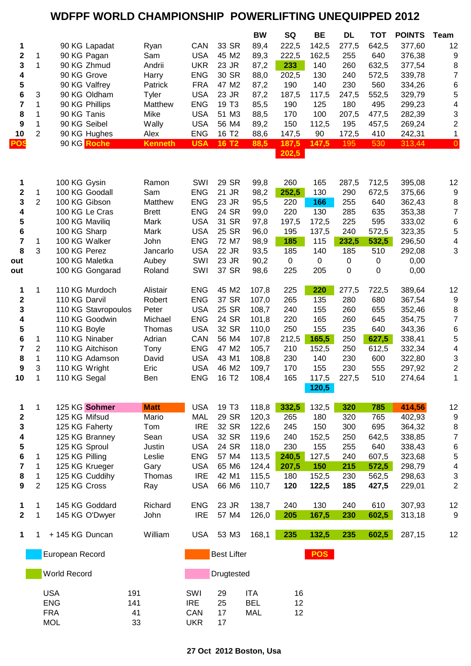## **WDFPF WORLD CHAMPIONSHIP POWERLIFTING UNEQUIPPED 2012**

|                         |                                                        |                                 |                |                          |                    | <b>BW</b>                | SQ          | <b>BE</b>      | DL         | <b>TOT</b> | <b>POINTS</b>    | Team                    |
|-------------------------|--------------------------------------------------------|---------------------------------|----------------|--------------------------|--------------------|--------------------------|-------------|----------------|------------|------------|------------------|-------------------------|
| 1                       |                                                        | 90 KG Lapadat                   | Ryan           | CAN                      | 33 SR              | 89,4                     | 222,5       | 142,5          | 277,5      | 642,5      | 377,60           | 12                      |
| 2                       | 1                                                      | 90 KG Pagan                     | Sam            | <b>USA</b>               | 45 M2              | 89,3                     | 222,5       | 162,5          | 255        | 640        | 376,38           | 9                       |
| 3                       | $\mathbf{1}$                                           | 90 KG Zhmud                     | Andrii         | <b>UKR</b>               | 23 JR              | 87,2                     | 233         | 140            | 260        | 632,5      | 377,54           | 8                       |
| 4                       |                                                        | 90 KG Grove                     | Harry          | <b>ENG</b>               | 30 SR              | 88,0                     | 202,5       | 130            | 240        | 572,5      | 339,78           | $\overline{7}$          |
| ${\bf 5}$               |                                                        | 90 KG Valfrey                   | Patrick        | <b>FRA</b>               | 47 M2              | 87,2                     | 190         | 140            | 230        | 560        | 334,26           | 6                       |
| 6                       | 3                                                      | 90 KG Oldham                    | <b>Tyler</b>   | <b>USA</b>               | 23 JR              | 87,2                     | 187,5       | 117,5          | 247,5      | 552,5      | 329,79           | 5                       |
| 7                       | 1                                                      | 90 KG Phillips                  | Matthew        | <b>ENG</b>               | 19 T <sub>3</sub>  | 85,5                     | 190         | 125            | 180        | 495        | 299,23           | $\overline{\mathbf{4}}$ |
| 8                       | 1                                                      | 90 KG Tanis                     | Mike           | <b>USA</b>               | 51 M3              | 88,5                     | 170         | 100            | 207,5      | 477,5      | 282,39           | 3                       |
| 9                       | 1                                                      | 90 KG Seibel                    | Wally          | <b>USA</b>               | 56 M4              | 89,2                     | 150         | 112,5          | 195        | 457,5      | 269,24           | $\overline{\mathbf{c}}$ |
| 10                      | $\overline{2}$                                         | 90 KG Hughes                    | Alex           | <b>ENG</b>               | 16 T <sub>2</sub>  | 88,6                     | 147,5       | 90             | 172,5      | 410        | 242,31           | $\mathbf{1}$            |
| <b>POS</b>              |                                                        | 90 KG Roche                     | <b>Kenneth</b> | <b>USA</b>               | <b>16 T2</b>       | 88,5                     | 187,5       | 147,5          | 195        | 530        | 313,44           | $\overline{0}$          |
|                         |                                                        |                                 |                |                          |                    |                          | 202,5       |                |            |            |                  |                         |
| 1                       |                                                        | 100 KG Gysin                    | Ramon          | SWI                      | 29 SR              | 99,8                     | 260         | 165            | 287,5      | 712,5      | 395,08           | 12                      |
| $\mathbf{2}$            | 1                                                      | 100 KG Goodall                  | Sam            | <b>ENG</b>               | 21 JR              | 98,2                     | 252,5       | 130            | 290        | 672,5      | 375,66           | 9                       |
| 3                       | $\overline{2}$                                         | 100 KG Gibson                   | Matthew        | <b>ENG</b>               | 23 JR              | 95,5                     | 220         | 166            | 255        | 640        | 362,43           | 8                       |
| 4                       |                                                        | 100 KG Le Cras                  | <b>Brett</b>   | <b>ENG</b>               | 24 SR              | 99,0                     | 220         | 130            | 285        | 635        | 353,38           | $\overline{7}$          |
| 5                       |                                                        | 100 KG Maviliq                  | Mark           | <b>USA</b>               | 31 SR              | 97,8                     | 197,5       | 172,5          | 225        | 595        | 333,02           | 6                       |
| 6                       |                                                        | 100 KG Sharp                    | Mark           | <b>USA</b>               | 25 SR              | 96,0                     | 195         | 137,5          | 240        | 572,5      | 323,35           | 5                       |
| $\overline{\mathbf{7}}$ | 1                                                      | 100 KG Walker                   | John           | <b>ENG</b>               | 72 M7              | 98,9                     | 185         | 115            | 232,5      | 532,5      | 296,50           | $\overline{\mathbf{4}}$ |
| 8                       | 3                                                      | 100 KG Perez                    | Jancarlo       | <b>USA</b>               | 22 JR              | 93,5                     | 185         | 140            | 185        | 510        | 292,08           | 3                       |
| out                     |                                                        | 100 KG Maletka                  | Aubey          | SWI                      | 23 JR              | 90,2                     | $\mathbf 0$ | $\mathbf 0$    | 0          | 0          | 0,00             |                         |
| out                     |                                                        | 100 KG Gongarad                 | Roland         | SWI                      | 37 SR              | 98,6                     | 225         | 205            | 0          | 0          | 0,00             |                         |
| 1                       | 1                                                      | 110 KG Murdoch                  | Alistair       | <b>ENG</b>               | 45 M2              | 107,8                    | 225         | 220            | 277,5      | 722,5      | 389,64           | 12                      |
| $\mathbf{2}$            |                                                        | 110 KG Darvil                   | Robert         | <b>ENG</b>               | 37 SR              | 107,0                    | 265         | 135            | 280        | 680        | 367,54           | 9                       |
| 3                       |                                                        | 110 KG Stavropoulos             | Peter          | <b>USA</b>               | 25 SR              | 108,7                    | 240         | 155            | 260        | 655        | 352,46           | 8                       |
| 4                       |                                                        | 110 KG Goodwin                  | Michael        | <b>ENG</b>               | 24 SR              | 101,8                    | 220         | 165            | 260        | 645        | 354,75           | $\overline{7}$          |
| 5                       |                                                        | 110 KG Boyle                    | Thomas         | <b>USA</b>               | 32 SR              | 110,0                    | 250         | 155            | 235        | 640        | 343,36           | 6                       |
| 6                       | 1                                                      | 110 KG Ninaber                  | Adrian         | CAN                      | 56 M4              | 107,8                    | 212,5       | 165,5          | 250        | 627,5      | 338,41           | 5                       |
| $\overline{\mathbf{7}}$ | $\overline{2}$                                         | 110 KG Aitchison                | Tony           | <b>ENG</b>               | 47 M2              | 105,7                    | 210         | 152,5          | 250        | 612,5      | 332,34           | $\overline{\mathbf{4}}$ |
| 8                       | 1                                                      | 110 KG Adamson                  | David          | <b>USA</b>               | 43 M1              | 108,8                    | 230         | 140            | 230        | 600        | 322,80           | 3                       |
| 9                       | 3                                                      | 110 KG Wright                   | Eric           | <b>USA</b>               | 46 M2              | 109,7                    | 170         | 155            | 230        | 555        | 297,92           | $\overline{\mathbf{c}}$ |
| 10                      | 1                                                      | 110 KG Segal                    | Ben            | <b>ENG</b>               | 16 T <sub>2</sub>  | 108,4                    | 165         | 117,5<br>120,5 | 227,5      | 510        | 274,64           | 1                       |
|                         |                                                        |                                 |                |                          |                    |                          |             |                |            |            |                  |                         |
| 1                       | 1                                                      | 125 KG Sohmer                   | <b>Matt</b>    | <b>USA</b>               | 19 T <sub>3</sub>  | 118,8                    | 332,5       | 132,5          | 320        | 785        | 414,56           | 12                      |
| $\boldsymbol{2}$<br>3   |                                                        | 125 KG Mifsud<br>125 KG Faherty | Mario<br>Tom   | <b>MAL</b><br><b>IRE</b> | 29 SR<br>32 SR     | 120,3<br>122,6           | 265<br>245  | 180<br>150     | 320<br>300 | 765<br>695 | 402,93<br>364,32 | 9                       |
| $\overline{\mathbf{4}}$ |                                                        | 125 KG Branney                  | Sean           | <b>USA</b>               | 32 SR              | 119,6                    | 240         | 152,5          | 250        | 642,5      | 338,85           | 8<br>$\overline{7}$     |
| ${\bf 5}$               |                                                        | 125 KG Sproul                   | Justin         | <b>USA</b>               | 24 SR              | 118,0                    | 230         | 155            | 255        | 640        | 338,43           | 6                       |
| 6                       | 1                                                      | 125 KG Pilling                  | Leslie         | <b>ENG</b>               | 57 M4              | 113,5                    | 240,5       | 127,5          | 240        | 607,5      | 323,68           | 5                       |
| $\overline{\mathbf{r}}$ | 1                                                      | 125 KG Krueger                  | Gary           | <b>USA</b>               | 65 M6              | 124,4                    | 207,5       | 150            | 215        | 572,5      | 298,79           | 4                       |
| 8                       | 1                                                      | 125 KG Cuddihy                  | Thomas         | <b>IRE</b>               | 42 M1              | 115,5                    | 180         | 152,5          | 230        | 562,5      | 298,63           | 3                       |
| 9                       | $\overline{2}$                                         | 125 KG Cross                    | Ray            | <b>USA</b>               | 66 M6              | 110,7                    | 120         | 122,5          | 185        | 427,5      | 229,01           | $\overline{c}$          |
| 1                       | 1                                                      | 145 KG Goddard                  | Richard        | <b>ENG</b>               | 23 JR              | 138,7                    | 240         | 130            | 240        | 610        | 307,93           | 12                      |
| $\overline{\mathbf{2}}$ | $\mathbf 1$                                            | 145 KG O'Dwyer                  | John           | <b>IRE</b>               | 57 M4              | 126,0                    | 205         | 167,5          | 230        | 602,5      | 313,18           | 9                       |
| 1                       | 1                                                      | +145 KG Duncan                  | William        | <b>USA</b>               | 53 M3              | 168,1                    | 235         | 132,5          | 235        | 602,5      | 287,15           | 12                      |
|                         |                                                        | European Record                 |                |                          | <b>Best Lifter</b> |                          |             | <b>POS</b>     |            |            |                  |                         |
|                         | World Record<br><b>USA</b><br>191<br><b>ENG</b><br>141 |                                 |                |                          | Drugtested         |                          |             |                |            |            |                  |                         |
|                         |                                                        |                                 |                |                          |                    |                          |             |                |            |            |                  |                         |
|                         |                                                        |                                 |                | SWI<br><b>IRE</b>        | 29<br>25           | <b>ITA</b><br><b>BEL</b> | 16<br>12    |                |            |            |                  |                         |
|                         |                                                        | <b>FRA</b>                      | 41             | CAN                      | 17                 | <b>MAL</b>               | 12          |                |            |            |                  |                         |
|                         |                                                        | <b>MOL</b>                      | 33             | <b>UKR</b>               | 17                 |                          |             |                |            |            |                  |                         |